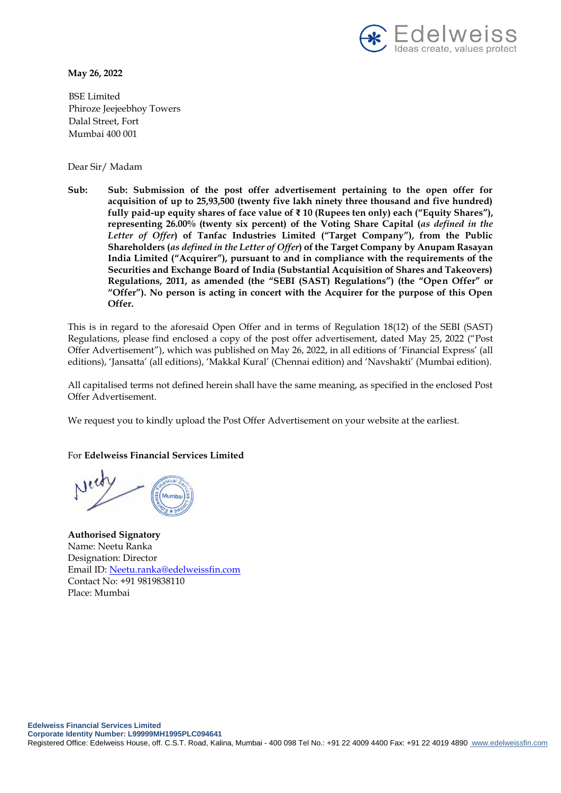

**May 26, 2022**

BSE Limited Phiroze Jeejeebhoy Towers Dalal Street, Fort Mumbai 400 001

Dear Sir/ Madam

**Sub: Sub: Submission of the post offer advertisement pertaining to the open offer for acquisition of up to 25,93,500 (twenty five lakh ninety three thousand and five hundred) fully paid-up equity shares of face value of ₹ 10 (Rupees ten only) each ("Equity Shares"), representing 26.00% (twenty six percent) of the Voting Share Capital (***as defined in the Letter of Offer***) of Tanfac Industries Limited ("Target Company"), from the Public Shareholders (***as defined in the Letter of Offer***) of the Target Company by Anupam Rasayan India Limited ("Acquirer"), pursuant to and in compliance with the requirements of the Securities and Exchange Board of India (Substantial Acquisition of Shares and Takeovers) Regulations, 2011, as amended (the "SEBI (SAST) Regulations") (the "Open Offer" or "Offer"). No person is acting in concert with the Acquirer for the purpose of this Open Offer.**

This is in regard to the aforesaid Open Offer and in terms of Regulation 18(12) of the SEBI (SAST) Regulations, please find enclosed a copy of the post offer advertisement, dated May 25, 2022 ("Post Offer Advertisement"), which was published on May 26, 2022, in all editions of 'Financial Express' (all editions), 'Jansatta' (all editions), 'Makkal Kural' (Chennai edition) and 'Navshakti' (Mumbai edition).

All capitalised terms not defined herein shall have the same meaning, as specified in the enclosed Post Offer Advertisement.

We request you to kindly upload the Post Offer Advertisement on your website at the earliest.

For **Edelweiss Financial Services Limited** 

**Authorised Signatory**  Name: Neetu Ranka Designation: Director Email ID: [Neetu.ranka@edelweissfin.com](mailto:Neetu.ranka@edelweissfin.com) Contact No: +91 9819838110 Place: Mumbai